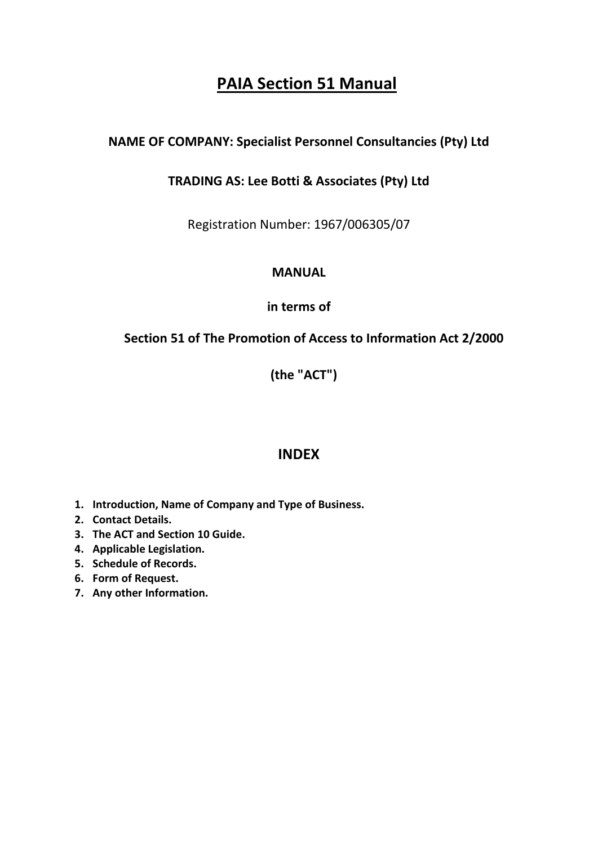# **PAIA Section 51 Manual**

## **NAME OF COMPANY: Specialist Personnel Consultancies (Pty) Ltd**

### **TRADING AS: Lee Botti & Associates (Pty) Ltd**

Registration Number: 1967/006305/07

### **MANUAL**

**in terms of**

### **Section 51 of The Promotion of Access to Information Act 2/2000**

 **(the "ACT")**

# **INDEX**

- **1. Introduction, Name of Company and Type of Business.**
- **2. Contact Details.**
- **3. The ACT and Section 10 Guide.**
- **4. Applicable Legislation.**
- **5. Schedule of Records.**
- **6. Form of Request.**
- **7. Any other Information.**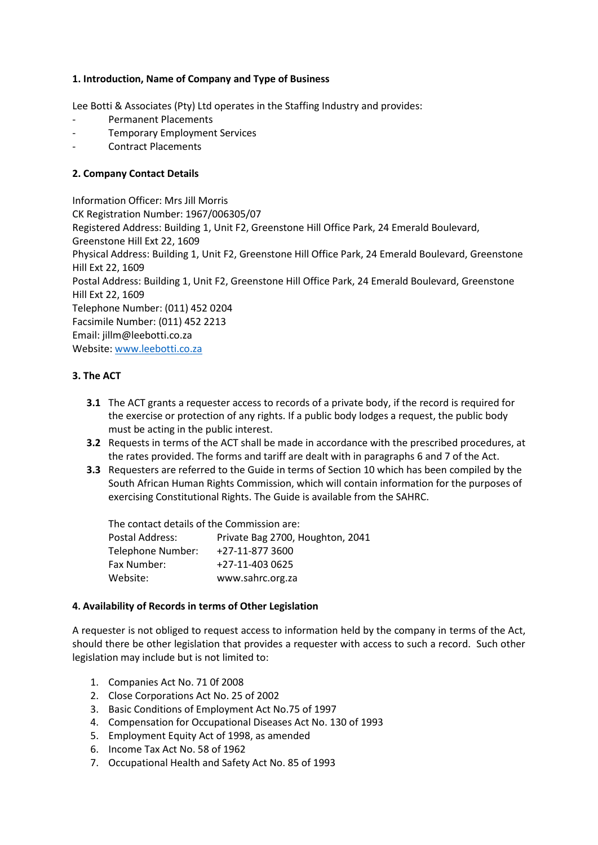#### **1. Introduction, Name of Company and Type of Business**

Lee Botti & Associates (Pty) Ltd operates in the Staffing Industry and provides:

- Permanent Placements
- Temporary Employment Services
- Contract Placements

#### **2. Company Contact Details**

Information Officer: Mrs Jill Morris CK Registration Number: 1967/006305/07 Registered Address: Building 1, Unit F2, Greenstone Hill Office Park, 24 Emerald Boulevard, Greenstone Hill Ext 22, 1609 Physical Address: Building 1, Unit F2, Greenstone Hill Office Park, 24 Emerald Boulevard, Greenstone Hill Ext 22, 1609 Postal Address: Building 1, Unit F2, Greenstone Hill Office Park, 24 Emerald Boulevard, Greenstone Hill Ext 22, 1609 Telephone Number: (011) 452 0204 Facsimile Number: (011) 452 2213 Email: jillm@leebotti.co.za Website[: www.leebotti.co.za](http://www.leebotti.co.za/)

#### **3. The ACT**

- **3.1** The ACT grants a requester access to records of a private body, if the record is required for the exercise or protection of any rights. If a public body lodges a request, the public body must be acting in the public interest.
- **3.2** Requests in terms of the ACT shall be made in accordance with the prescribed procedures, at the rates provided. The forms and tariff are dealt with in paragraphs 6 and 7 of the Act.
- **3.3** Requesters are referred to the Guide in terms of Section 10 which has been compiled by the South African Human Rights Commission, which will contain information for the purposes of exercising Constitutional Rights. The Guide is available from the SAHRC.

| The contact details of the Commission are: |                                  |
|--------------------------------------------|----------------------------------|
| Postal Address:                            | Private Bag 2700, Houghton, 2041 |
| Telephone Number:                          | +27-11-877 3600                  |
| Fax Number:                                | +27-11-403 0625                  |
| Website:                                   | www.sahrc.org.za                 |

#### **4. Availability of Records in terms of Other Legislation**

A requester is not obliged to request access to information held by the company in terms of the Act, should there be other legislation that provides a requester with access to such a record. Such other legislation may include but is not limited to:

- 1. Companies Act No. 71 0f 2008
- 2. Close Corporations Act No. 25 of 2002
- 3. Basic Conditions of Employment Act No.75 of 1997
- 4. Compensation for Occupational Diseases Act No. 130 of 1993
- 5. Employment Equity Act of 1998, as amended
- 6. Income Tax Act No. 58 of 1962
- 7. Occupational Health and Safety Act No. 85 of 1993